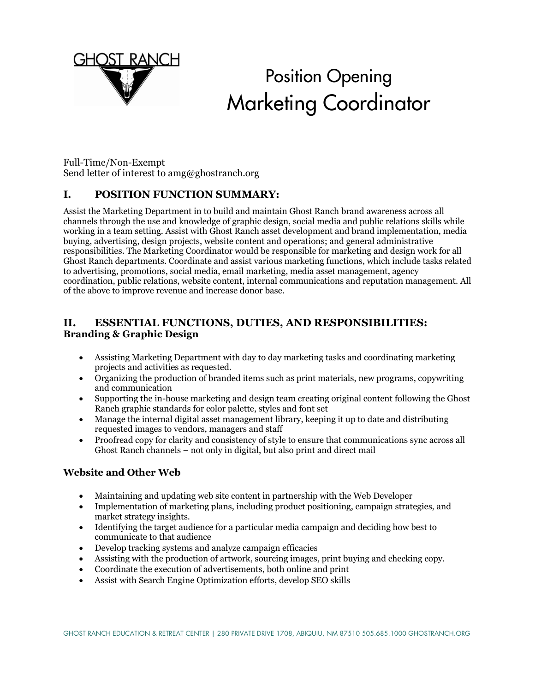

# Position Opening Marketing Coordinator

Full-Time/Non-Exempt Send letter of interest to amg@ghostranch.org

# **I. POSITION FUNCTION SUMMARY:**

Assist the Marketing Department in to build and maintain Ghost Ranch brand awareness across all channels through the use and knowledge of graphic design, social media and public relations skills while working in a team setting. Assist with Ghost Ranch asset development and brand implementation, media buying, advertising, design projects, website content and operations; and general administrative responsibilities. The Marketing Coordinator would be responsible for marketing and design work for all Ghost Ranch departments. Coordinate and assist various marketing functions, which include tasks related to advertising, promotions, social media, email marketing, media asset management, agency coordination, public relations, website content, internal communications and reputation management. All of the above to improve revenue and increase donor base.

# **II. ESSENTIAL FUNCTIONS, DUTIES, AND RESPONSIBILITIES: Branding & Graphic Design**

- Assisting Marketing Department with day to day marketing tasks and coordinating marketing projects and activities as requested.
- Organizing the production of branded items such as print materials, new programs, copywriting and communication
- Supporting the in-house marketing and design team creating original content following the Ghost Ranch graphic standards for color palette, styles and font set
- Manage the internal digital asset management library, keeping it up to date and distributing requested images to vendors, managers and staff
- Proofread copy for clarity and consistency of style to ensure that communications sync across all Ghost Ranch channels – not only in digital, but also print and direct mail

#### **Website and Other Web**

- Maintaining and updating web site content in partnership with the Web Developer
- Implementation of marketing plans, including product positioning, campaign strategies, and market strategy insights.
- Identifying the target audience for a particular media campaign and deciding how best to communicate to that audience
- Develop tracking systems and analyze campaign efficacies
- Assisting with the production of artwork, sourcing images, print buying and checking copy.
- Coordinate the execution of advertisements, both online and print
- Assist with Search Engine Optimization efforts, develop SEO skills